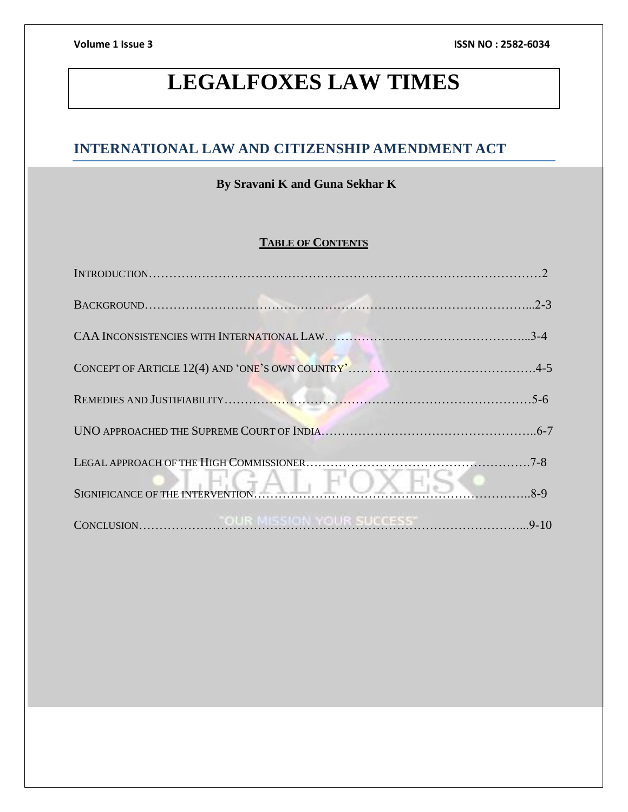# **LEGALFOXES LAW TIMES**

# **INTERNATIONAL LAW AND CITIZENSHIP AMENDMENT ACT**

# **By Sravani K and Guna Sekhar K**

# **TABLE OF CONTENTS**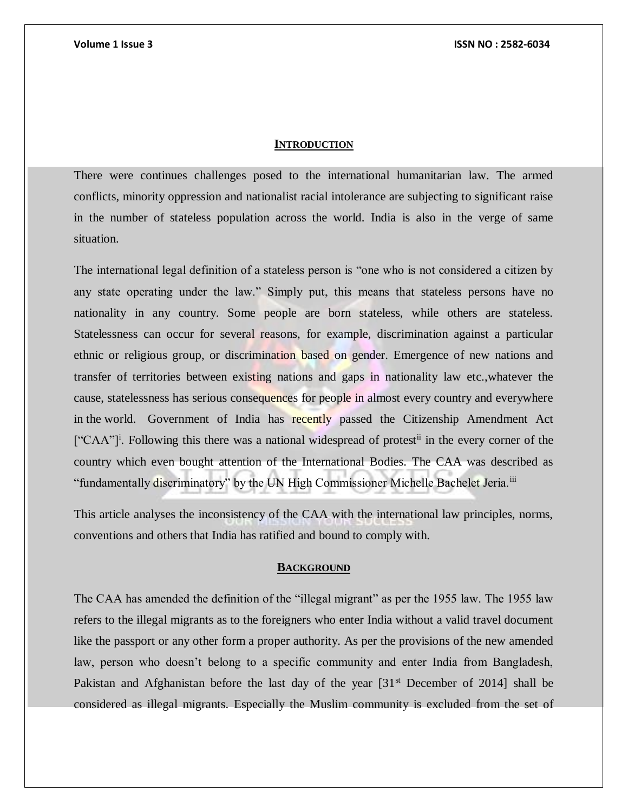# **INTRODUCTION**

There were continues challenges posed to the international humanitarian law. The armed conflicts, minority oppression and nationalist racial intolerance are subjecting to significant raise in the number of stateless population across the world. India is also in the verge of same situation.

The international legal definition of a stateless person is "one who is not considered a citizen by any state operating under the law." Simply put, this means that stateless persons have no nationality in any country. Some people are born stateless, while others are stateless. Statelessness can occur for several reasons, for example, discrimination against a particular ethnic or religious group, or discrimination based on gender. Emergence of new nations and transfer of territories between existing nations and gaps in nationality law etc.,whatever the cause, statelessness has serious consequences for people in almost every country and everywhere in the world. Government of India has recently passed the Citizenship Amendment Act ["CAA"]<sup>i</sup>. Following this there was a national widespread of protest<sup>ii</sup> in the every corner of the country which even bought attention of the International Bodies. The CAA was described as "fundamentally discriminatory" by the UN High Commissioner Michelle Bachelet Jeria.<sup>iii</sup>

This article analyses the inconsistency of the CAA with the international law principles, norms, conventions and others that India has ratified and bound to comply with.

# **BACKGROUND**

The CAA has amended the definition of the "illegal migrant" as per the 1955 law. The 1955 law refers to the illegal migrants as to the foreigners who enter India without a valid travel document like the passport or any other form a proper authority. As per the provisions of the new amended law, person who doesn't belong to a specific community and enter India from Bangladesh, Pakistan and Afghanistan before the last day of the year  $[31<sup>st</sup>$  December of 2014] shall be considered as illegal migrants. Especially the Muslim community is excluded from the set of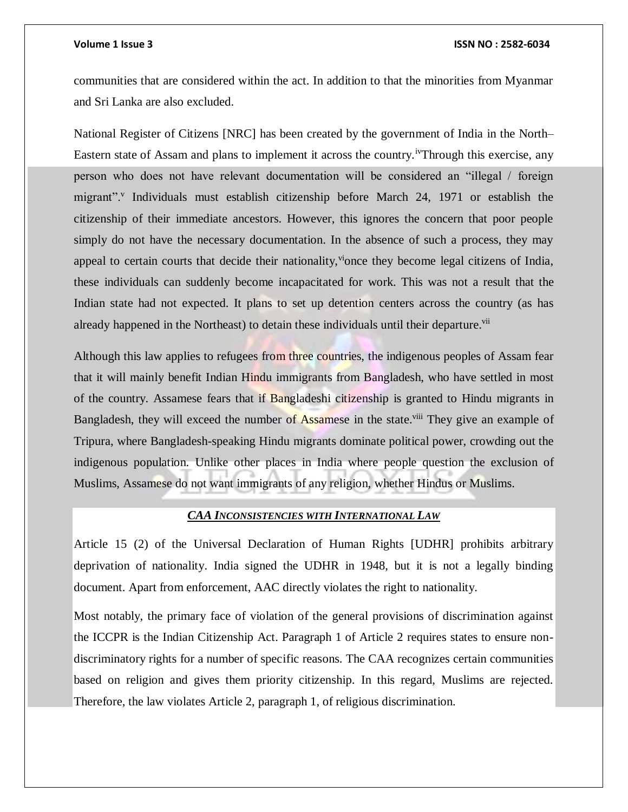communities that are considered within the act. In addition to that the minorities from Myanmar and Sri Lanka are also excluded.

National Register of Citizens [NRC] has been created by the government of India in the North– Eastern state of Assam and plans to implement it across the country.ivThrough this exercise, any person who does not have relevant documentation will be considered an "illegal / foreign migrant".<sup>v</sup> Individuals must establish citizenship before March 24, 1971 or establish the citizenship of their immediate ancestors. However, this ignores the concern that poor people simply do not have the necessary documentation. In the absence of such a process, they may appeal to certain courts that decide their nationality, vionce they become legal citizens of India, these individuals can suddenly become incapacitated for work. This was not a result that the Indian state had not expected. It plans to set up detention centers across the country (as has already happened in the Northeast) to detain these individuals until their departure.<sup>vii</sup>

Although this law applies to refugees from three countries, the indigenous peoples of Assam fear that it will mainly benefit Indian Hindu immigrants from Bangladesh, who have settled in most of the country. Assamese fears that if Bangladeshi citizenship is granted to Hindu migrants in Bangladesh, they will exceed the number of Assamese in the state.<sup>viii</sup> They give an example of Tripura, where Bangladesh-speaking Hindu migrants dominate political power, crowding out the indigenous population. Unlike other places in India where people question the exclusion of Muslims, Assamese do not want immigrants of any religion, whether Hindus or Muslims.

# *CAA INCONSISTENCIES WITH INTERNATIONAL LAW*

Article 15 (2) of the Universal Declaration of Human Rights [UDHR] prohibits arbitrary deprivation of nationality. India signed the UDHR in 1948, but it is not a legally binding document. Apart from enforcement, AAC directly violates the right to nationality.

Most notably, the primary face of violation of the general provisions of discrimination against the ICCPR is the Indian Citizenship Act. Paragraph 1 of Article 2 requires states to ensure nondiscriminatory rights for a number of specific reasons. The CAA recognizes certain communities based on religion and gives them priority citizenship. In this regard, Muslims are rejected. Therefore, the law violates Article 2, paragraph 1, of religious discrimination.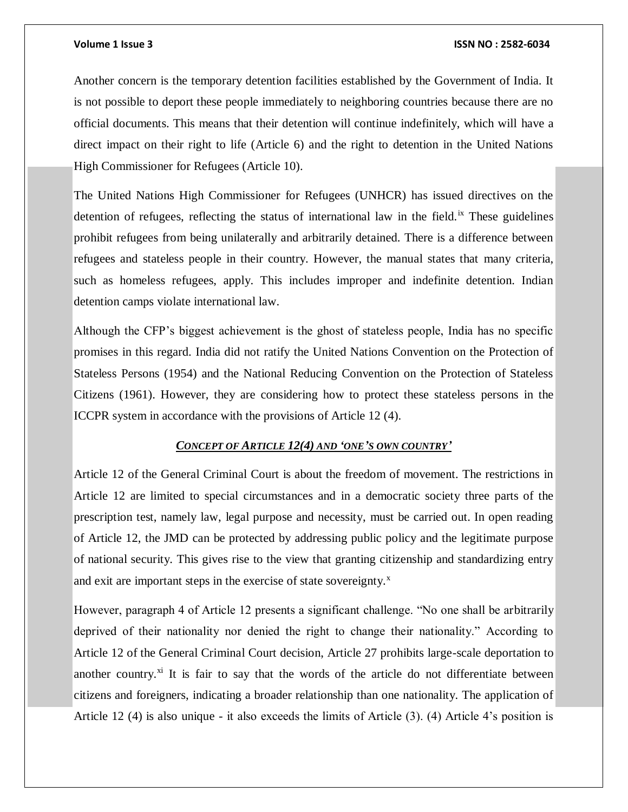Another concern is the temporary detention facilities established by the Government of India. It is not possible to deport these people immediately to neighboring countries because there are no official documents. This means that their detention will continue indefinitely, which will have a direct impact on their right to life (Article 6) and the right to detention in the United Nations High Commissioner for Refugees (Article 10).

The United Nations High Commissioner for Refugees (UNHCR) has issued directives on the detention of refugees, reflecting the status of international law in the field.<sup>ix</sup> These guidelines prohibit refugees from being unilaterally and arbitrarily detained. There is a difference between refugees and stateless people in their country. However, the manual states that many criteria, such as homeless refugees, apply. This includes improper and indefinite detention. Indian detention camps violate international law.

Although the CFP's biggest achievement is the ghost of stateless people, India has no specific promises in this regard. India did not ratify the United Nations Convention on the Protection of Stateless Persons (1954) and the National Reducing Convention on the Protection of Stateless Citizens (1961). However, they are considering how to protect these stateless persons in the ICCPR system in accordance with the provisions of Article 12 (4).

# *CONCEPT OF ARTICLE 12(4) AND 'ONE'S OWN COUNTRY'*

Article 12 of the General Criminal Court is about the freedom of movement. The restrictions in Article 12 are limited to special circumstances and in a democratic society three parts of the prescription test, namely law, legal purpose and necessity, must be carried out. In open reading of Article 12, the JMD can be protected by addressing public policy and the legitimate purpose of national security. This gives rise to the view that granting citizenship and standardizing entry and exit are important steps in the exercise of state sovereignty. $^x$ 

However, paragraph 4 of Article 12 presents a significant challenge. "No one shall be arbitrarily deprived of their nationality nor denied the right to change their nationality." According to Article 12 of the General Criminal Court decision, Article 27 prohibits large-scale deportation to another country.<sup>xi</sup> It is fair to say that the words of the article do not differentiate between citizens and foreigners, indicating a broader relationship than one nationality. The application of Article 12 (4) is also unique - it also exceeds the limits of Article (3). (4) Article 4's position is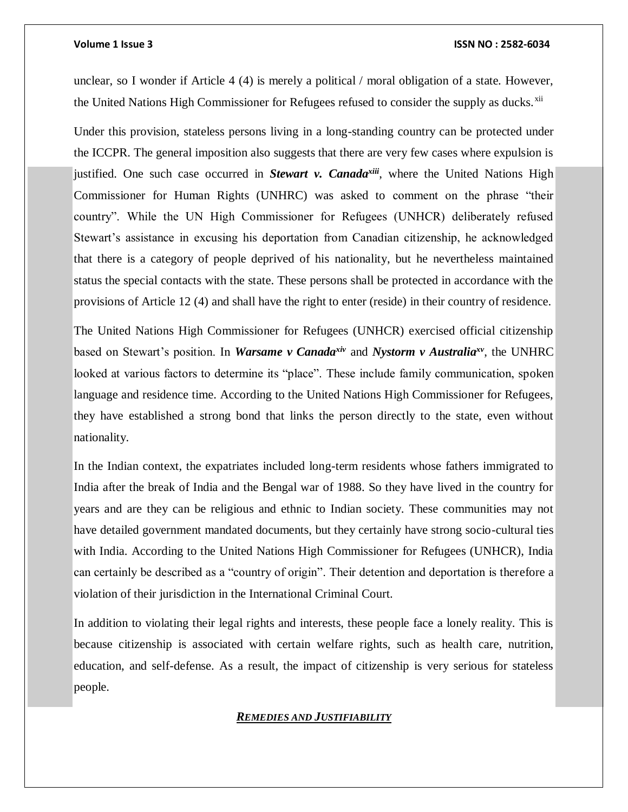unclear, so I wonder if Article 4 (4) is merely a political / moral obligation of a state. However, the United Nations High Commissioner for Refugees refused to consider the supply as ducks.<sup>xii</sup>

Under this provision, stateless persons living in a long-standing country can be protected under the ICCPR. The general imposition also suggests that there are very few cases where expulsion is justified. One such case occurred in *Stewart v. Canadaxiii*, where the United Nations High Commissioner for Human Rights (UNHRC) was asked to comment on the phrase "their country". While the UN High Commissioner for Refugees (UNHCR) deliberately refused Stewart's assistance in excusing his deportation from Canadian citizenship, he acknowledged that there is a category of people deprived of his nationality, but he nevertheless maintained status the special contacts with the state. These persons shall be protected in accordance with the provisions of Article 12 (4) and shall have the right to enter (reside) in their country of residence.

The United Nations High Commissioner for Refugees (UNHCR) exercised official citizenship based on Stewart's position. In *Warsame v Canadaxiv* and *Nystorm v Australiaxv*, the UNHRC looked at various factors to determine its "place". These include family communication, spoken language and residence time. According to the United Nations High Commissioner for Refugees, they have established a strong bond that links the person directly to the state, even without nationality.

In the Indian context, the expatriates included long-term residents whose fathers immigrated to India after the break of India and the Bengal war of 1988. So they have lived in the country for years and are they can be religious and ethnic to Indian society. These communities may not have detailed government mandated documents, but they certainly have strong socio-cultural ties with India. According to the United Nations High Commissioner for Refugees (UNHCR), India can certainly be described as a "country of origin". Their detention and deportation is therefore a violation of their jurisdiction in the International Criminal Court.

In addition to violating their legal rights and interests, these people face a lonely reality. This is because citizenship is associated with certain welfare rights, such as health care, nutrition, education, and self-defense. As a result, the impact of citizenship is very serious for stateless people.

# *REMEDIES AND JUSTIFIABILITY*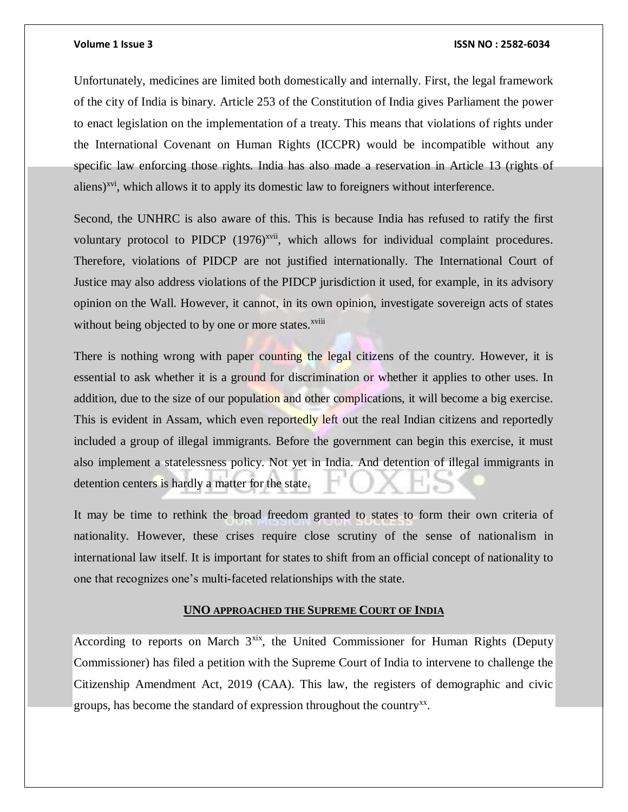Unfortunately, medicines are limited both domestically and internally. First, the legal framework of the city of India is binary. Article 253 of the Constitution of India gives Parliament the power to enact legislation on the implementation of a treaty. This means that violations of rights under the International Covenant on Human Rights (ICCPR) would be incompatible without any specific law enforcing those rights. India has also made a reservation in Article 13 (rights of aliens)<sup>xvi</sup>, which allows it to apply its domestic law to foreigners without interference.

Second, the UNHRC is also aware of this. This is because India has refused to ratify the first voluntary protocol to PIDCP  $(1976)^{xvii}$ , which allows for individual complaint procedures. Therefore, violations of PIDCP are not justified internationally. The International Court of Justice may also address violations of the PIDCP jurisdiction it used, for example, in its advisory opinion on the Wall. However, it cannot, in its own opinion, investigate sovereign acts of states without being objected to by one or more states.<sup>xviii</sup>

There is nothing wrong with paper counting the legal citizens of the country. However, it is essential to ask whether it is a ground for discrimination or whether it applies to other uses. In addition, due to the size of our population and other complications, it will become a big exercise. This is evident in Assam, which even reportedly left out the real Indian citizens and reportedly included a group of illegal immigrants. Before the government can begin this exercise, it must also implement a statelessness policy. Not yet in India. And detention of illegal immigrants in detention centers is hardly a matter for the state.

It may be time to rethink the broad freedom granted to states to form their own criteria of nationality. However, these crises require close scrutiny of the sense of nationalism in international law itself. It is important for states to shift from an official concept of nationality to one that recognizes one's multi-faceted relationships with the state.

# **UNO APPROACHED THE SUPREME COURT OF INDIA**

According to reports on March  $3^{xix}$ , the United Commissioner for Human Rights (Deputy Commissioner) has filed a petition with the Supreme Court of India to intervene to challenge the Citizenship Amendment Act, 2019 (CAA). This law, the registers of demographic and civic groups, has become the standard of expression throughout the country<sup>xx</sup>.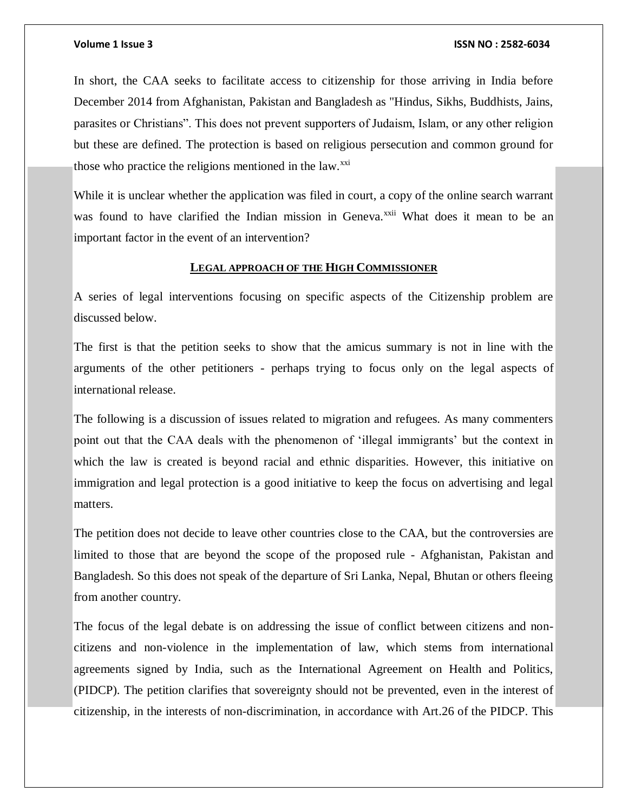In short, the CAA seeks to facilitate access to citizenship for those arriving in India before December 2014 from Afghanistan, Pakistan and Bangladesh as "Hindus, Sikhs, Buddhists, Jains, parasites or Christians". This does not prevent supporters of Judaism, Islam, or any other religion but these are defined. The protection is based on religious persecution and common ground for those who practice the religions mentioned in the law. $^{xxi}$ 

While it is unclear whether the application was filed in court, a copy of the online search warrant was found to have clarified the Indian mission in Geneva.<sup>xxii</sup> What does it mean to be an important factor in the event of an intervention?

# **LEGAL APPROACH OF THE HIGH COMMISSIONER**

A series of legal interventions focusing on specific aspects of the Citizenship problem are discussed below.

The first is that the petition seeks to show that the amicus summary is not in line with the arguments of the other petitioners - perhaps trying to focus only on the legal aspects of international release.

The following is a discussion of issues related to migration and refugees. As many commenters point out that the CAA deals with the phenomenon of 'illegal immigrants' but the context in which the law is created is beyond racial and ethnic disparities. However, this initiative on immigration and legal protection is a good initiative to keep the focus on advertising and legal matters.

The petition does not decide to leave other countries close to the CAA, but the controversies are limited to those that are beyond the scope of the proposed rule - Afghanistan, Pakistan and Bangladesh. So this does not speak of the departure of Sri Lanka, Nepal, Bhutan or others fleeing from another country.

The focus of the legal debate is on addressing the issue of conflict between citizens and noncitizens and non-violence in the implementation of law, which stems from international agreements signed by India, such as the International Agreement on Health and Politics, (PIDCP). The petition clarifies that sovereignty should not be prevented, even in the interest of citizenship, in the interests of non-discrimination, in accordance with Art.26 of the PIDCP. This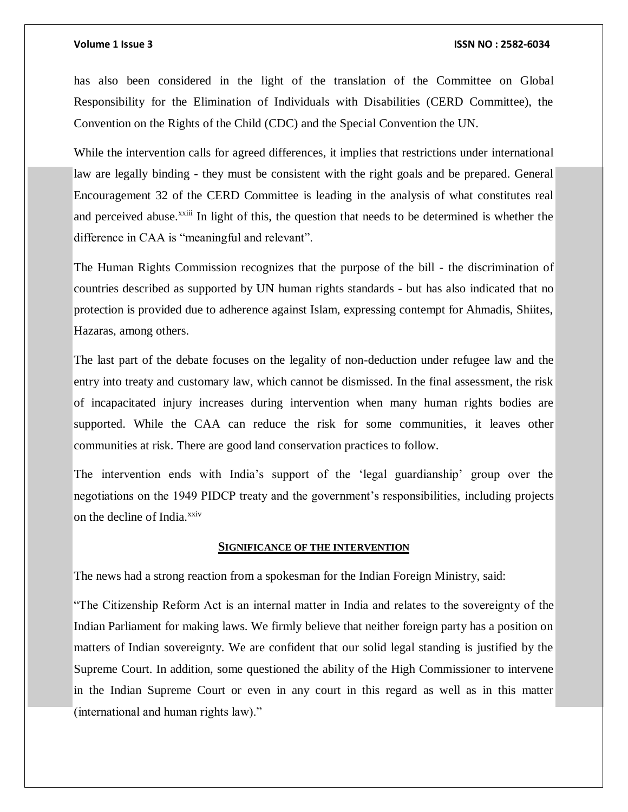has also been considered in the light of the translation of the Committee on Global Responsibility for the Elimination of Individuals with Disabilities (CERD Committee), the Convention on the Rights of the Child (CDC) and the Special Convention the UN.

While the intervention calls for agreed differences, it implies that restrictions under international law are legally binding - they must be consistent with the right goals and be prepared. General Encouragement 32 of the CERD Committee is leading in the analysis of what constitutes real and perceived abuse.<sup>xxiii</sup> In light of this, the question that needs to be determined is whether the difference in CAA is "meaningful and relevant".

The Human Rights Commission recognizes that the purpose of the bill - the discrimination of countries described as supported by UN human rights standards - but has also indicated that no protection is provided due to adherence against Islam, expressing contempt for Ahmadis, Shiites, Hazaras, among others.

The last part of the debate focuses on the legality of non-deduction under refugee law and the entry into treaty and customary law, which cannot be dismissed. In the final assessment, the risk of incapacitated injury increases during intervention when many human rights bodies are supported. While the CAA can reduce the risk for some communities, it leaves other communities at risk. There are good land conservation practices to follow.

The intervention ends with India's support of the 'legal guardianship' group over the negotiations on the 1949 PIDCP treaty and the government's responsibilities, including projects on the decline of India.<sup>xxiv</sup>

# **SIGNIFICANCE OF THE INTERVENTION**

The news had a strong reaction from a spokesman for the Indian Foreign Ministry, said:

"The Citizenship Reform Act is an internal matter in India and relates to the sovereignty of the Indian Parliament for making laws. We firmly believe that neither foreign party has a position on matters of Indian sovereignty. We are confident that our solid legal standing is justified by the Supreme Court. In addition, some questioned the ability of the High Commissioner to intervene in the Indian Supreme Court or even in any court in this regard as well as in this matter (international and human rights law)."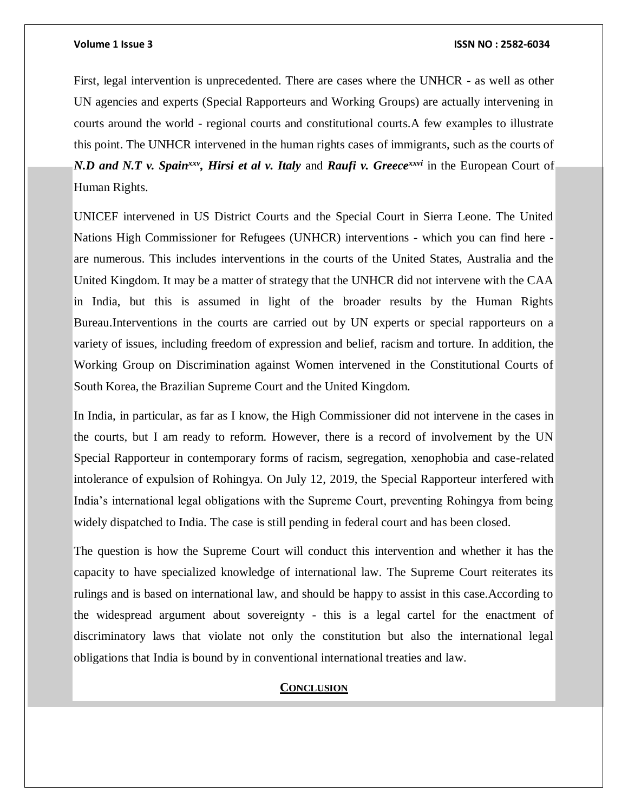First, legal intervention is unprecedented. There are cases where the UNHCR - as well as other UN agencies and experts (Special Rapporteurs and Working Groups) are actually intervening in courts around the world - regional courts and constitutional courts.A few examples to illustrate this point. The UNHCR intervened in the human rights cases of immigrants, such as the courts of *N.D and N.T v. Spain<sup>xxv</sup>, Hirsi et al v. Italy and <i>Raufi v. Greece<sup>xxvi</sup>* in the European Court of Human Rights.

UNICEF intervened in US District Courts and the Special Court in Sierra Leone. The United Nations High Commissioner for Refugees (UNHCR) interventions - which you can find here are numerous. This includes interventions in the courts of the United States, Australia and the United Kingdom. It may be a matter of strategy that the UNHCR did not intervene with the CAA in India, but this is assumed in light of the broader results by the Human Rights Bureau.Interventions in the courts are carried out by UN experts or special rapporteurs on a variety of issues, including freedom of expression and belief, racism and torture. In addition, the Working Group on Discrimination against Women intervened in the Constitutional Courts of South Korea, the Brazilian Supreme Court and the United Kingdom.

In India, in particular, as far as I know, the High Commissioner did not intervene in the cases in the courts, but I am ready to reform. However, there is a record of involvement by the UN Special Rapporteur in contemporary forms of racism, segregation, xenophobia and case-related intolerance of expulsion of Rohingya. On July 12, 2019, the Special Rapporteur interfered with India's international legal obligations with the Supreme Court, preventing Rohingya from being widely dispatched to India. The case is still pending in federal court and has been closed.

The question is how the Supreme Court will conduct this intervention and whether it has the capacity to have specialized knowledge of international law. The Supreme Court reiterates its rulings and is based on international law, and should be happy to assist in this case.According to the widespread argument about sovereignty - this is a legal cartel for the enactment of discriminatory laws that violate not only the constitution but also the international legal obligations that India is bound by in conventional international treaties and law.

# **CONCLUSION**